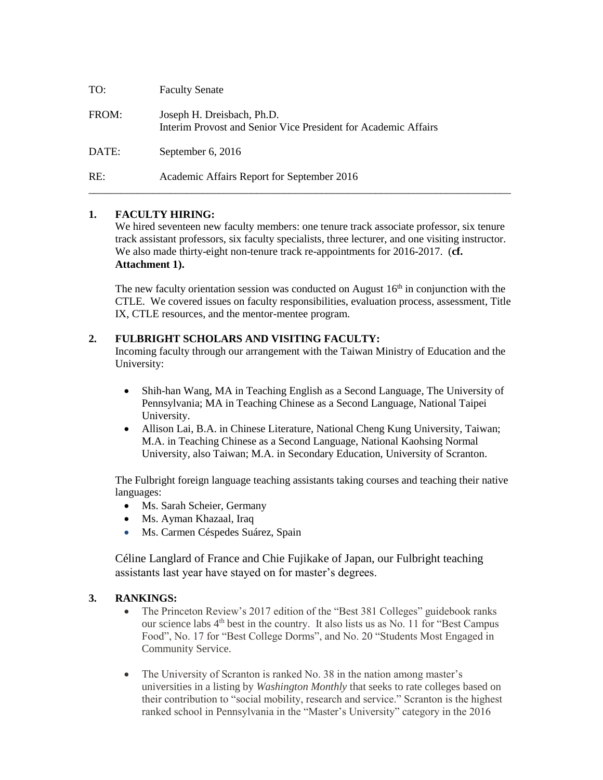| TO:   | <b>Faculty Senate</b>                                                                        |
|-------|----------------------------------------------------------------------------------------------|
| FROM: | Joseph H. Dreisbach, Ph.D.<br>Interim Provost and Senior Vice President for Academic Affairs |
| DATE: | September 6, 2016                                                                            |
| RE:   | Academic Affairs Report for September 2016                                                   |

# **1. FACULTY HIRING:**

We hired seventeen new faculty members: one tenure track associate professor, six tenure track assistant professors, six faculty specialists, three lecturer, and one visiting instructor. We also made thirty-eight non-tenure track re-appointments for 2016-2017. (**cf. Attachment 1).**

The new faculty orientation session was conducted on August  $16<sup>th</sup>$  in conjunction with the CTLE. We covered issues on faculty responsibilities, evaluation process, assessment, Title IX, CTLE resources, and the mentor-mentee program.

# **2. FULBRIGHT SCHOLARS AND VISITING FACULTY:**

Incoming faculty through our arrangement with the Taiwan Ministry of Education and the University:

- Shih-han Wang, MA in Teaching English as a Second Language, The University of Pennsylvania; MA in Teaching Chinese as a Second Language, National Taipei University.
- Allison Lai, B.A. in Chinese Literature, National Cheng Kung University, Taiwan; M.A. in Teaching Chinese as a Second Language, National Kaohsing Normal University, also Taiwan; M.A. in Secondary Education, University of Scranton.

The Fulbright foreign language teaching assistants taking courses and teaching their native languages:

- Ms. Sarah Scheier, Germany
- Ms. Ayman Khazaal, Iraq
- Ms. Carmen Céspedes Suárez, Spain

Céline Langlard of France and Chie Fujikake of Japan, our Fulbright teaching assistants last year have stayed on for master's degrees.

# **3. RANKINGS:**

- The Princeton Review's 2017 edition of the "Best 381 Colleges" guidebook ranks our science labs 4th best in the country. It also lists us as No. 11 for "Best Campus Food", No. 17 for "Best College Dorms", and No. 20 "Students Most Engaged in Community Service.
- The University of Scranton is ranked No. 38 in the nation among master's universities in a listing by *Washington Monthly* that seeks to rate colleges based on their contribution to "social mobility, research and service." Scranton is the highest ranked school in Pennsylvania in the "Master's University" category in the 2016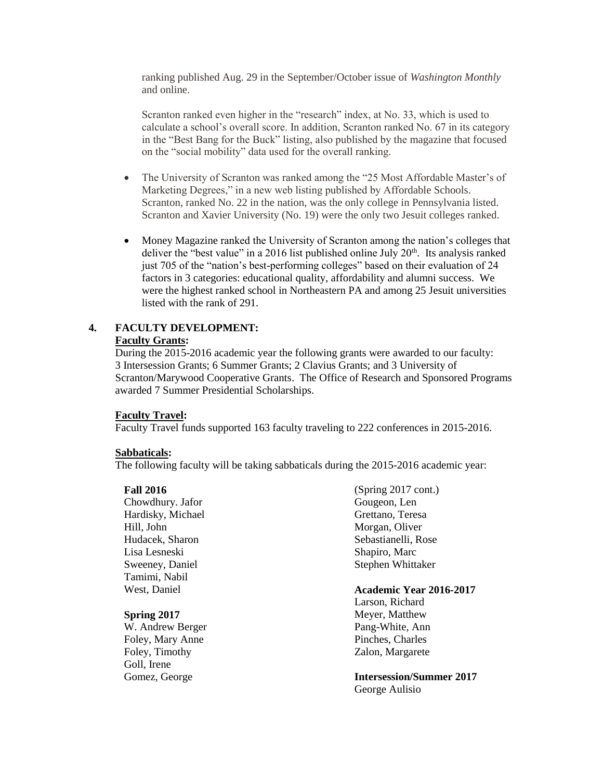ranking published Aug. 29 in the September/October issue of *Washington Monthly* and online.

Scranton ranked even higher in the "research" index, at No. 33, which is used to calculate a school's overall score. In addition, Scranton ranked No. 67 in its category in the "Best Bang for the Buck" listing, also published by the magazine that focused on the "social mobility" data used for the overall ranking.

- The University of Scranton was ranked among the "25 Most Affordable Master's of Marketing Degrees," in a new web listing published by Affordable Schools. Scranton, ranked No. 22 in the nation, was the only college in Pennsylvania listed. Scranton and Xavier University (No. 19) were the only two Jesuit colleges ranked.
- Money Magazine ranked the University of Scranton among the nation's colleges that deliver the "best value" in a 2016 list published online July  $20<sup>th</sup>$ . Its analysis ranked just 705 of the "nation's best-performing colleges" based on their evaluation of 24 factors in 3 categories: educational quality, affordability and alumni success. We were the highest ranked school in Northeastern PA and among 25 Jesuit universities listed with the rank of 291.

#### **4. FACULTY DEVELOPMENT: Faculty Grants:**

During the 2015-2016 academic year the following grants were awarded to our faculty: 3 Intersession Grants; 6 Summer Grants; 2 Clavius Grants; and 3 University of Scranton/Marywood Cooperative Grants. The Office of Research and Sponsored Programs awarded 7 Summer Presidential Scholarships.

#### **Faculty Travel:**

Faculty Travel funds supported 163 faculty traveling to 222 conferences in 2015-2016.

#### **Sabbaticals:**

The following faculty will be taking sabbaticals during the 2015-2016 academic year:

#### **Fall 2016**

Chowdhury. Jafor Hardisky, Michael Hill, John Hudacek, Sharon Lisa Lesneski Sweeney, Daniel Tamimi, Nabil West, Daniel

#### **Spring 2017**

W. Andrew Berger Foley, Mary Anne Foley, Timothy Goll, Irene Gomez, George

(Spring 2017 cont.) Gougeon, Len Grettano, Teresa Morgan, Oliver Sebastianelli, Rose Shapiro, Marc Stephen Whittaker

# **Academic Year 2016-2017**

Larson, Richard Meyer, Matthew Pang-White, Ann Pinches, Charles Zalon, Margarete

**Intersession/Summer 2017** George Aulisio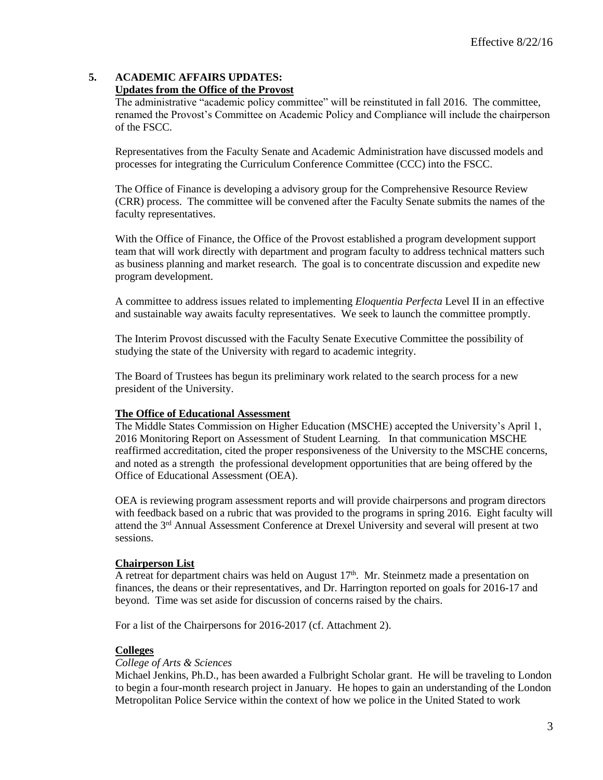#### **5. ACADEMIC AFFAIRS UPDATES: Updates from the Office of the Provost**

The administrative "academic policy committee" will be reinstituted in fall 2016. The committee, renamed the Provost's Committee on Academic Policy and Compliance will include the chairperson of the FSCC.

Representatives from the Faculty Senate and Academic Administration have discussed models and processes for integrating the Curriculum Conference Committee (CCC) into the FSCC.

The Office of Finance is developing a advisory group for the Comprehensive Resource Review (CRR) process. The committee will be convened after the Faculty Senate submits the names of the faculty representatives.

With the Office of Finance, the Office of the Provost established a program development support team that will work directly with department and program faculty to address technical matters such as business planning and market research. The goal is to concentrate discussion and expedite new program development.

A committee to address issues related to implementing *Eloquentia Perfecta* Level II in an effective and sustainable way awaits faculty representatives. We seek to launch the committee promptly.

The Interim Provost discussed with the Faculty Senate Executive Committee the possibility of studying the state of the University with regard to academic integrity.

The Board of Trustees has begun its preliminary work related to the search process for a new president of the University.

# **The Office of Educational Assessment**

The Middle States Commission on Higher Education (MSCHE) accepted the University's April 1, 2016 Monitoring Report on Assessment of Student Learning. In that communication MSCHE reaffirmed accreditation, cited the proper responsiveness of the University to the MSCHE concerns, and noted as a strength the professional development opportunities that are being offered by the Office of Educational Assessment (OEA).

OEA is reviewing program assessment reports and will provide chairpersons and program directors with feedback based on a rubric that was provided to the programs in spring 2016. Eight faculty will attend the 3rd Annual Assessment Conference at Drexel University and several will present at two sessions.

# **Chairperson List**

A retreat for department chairs was held on August  $17<sup>th</sup>$ . Mr. Steinmetz made a presentation on finances, the deans or their representatives, and Dr. Harrington reported on goals for 2016-17 and beyond. Time was set aside for discussion of concerns raised by the chairs.

For a list of the Chairpersons for 2016-2017 (cf. Attachment 2).

#### **Colleges**

#### *College of Arts & Sciences*

Michael Jenkins, Ph.D., has been awarded a Fulbright Scholar grant. He will be traveling to London to begin a four-month research project in January. He hopes to gain an understanding of the London Metropolitan Police Service within the context of how we police in the United Stated to work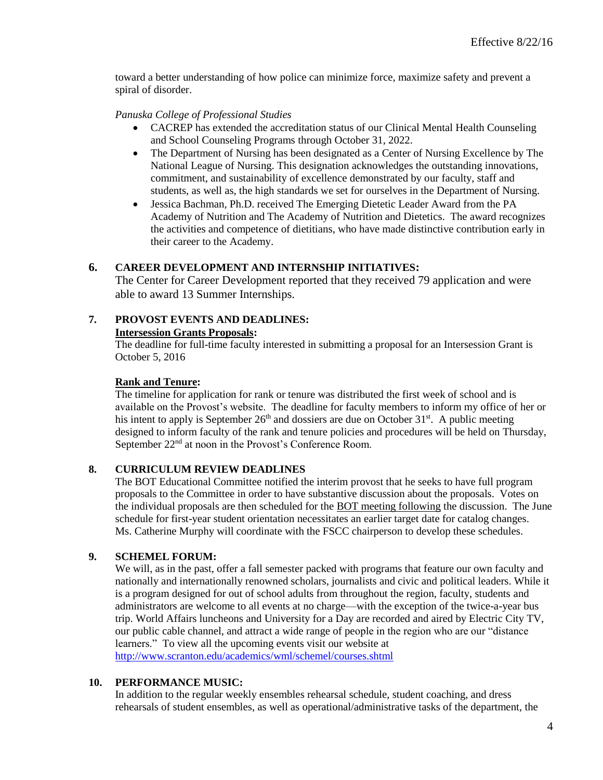toward a better understanding of how police can minimize force, maximize safety and prevent a spiral of disorder.

### *Panuska College of Professional Studies*

- CACREP has extended the accreditation status of our Clinical Mental Health Counseling and School Counseling Programs through October 31, 2022.
- The Department of Nursing has been designated as a Center of Nursing Excellence by The National League of Nursing. This designation acknowledges the outstanding innovations, commitment, and sustainability of excellence demonstrated by our faculty, staff and students, as well as, the high standards we set for ourselves in the Department of Nursing.
- Jessica Bachman, Ph.D. received The Emerging Dietetic Leader Award from the PA Academy of Nutrition and The Academy of Nutrition and Dietetics. The award recognizes the activities and competence of dietitians, who have made distinctive contribution early in their career to the Academy.

# **6. CAREER DEVELOPMENT AND INTERNSHIP INITIATIVES:**

The Center for Career Development reported that they received 79 application and were able to award 13 Summer Internships.

# **7. PROVOST EVENTS AND DEADLINES:**

#### **Intersession Grants Proposals:**

The deadline for full-time faculty interested in submitting a proposal for an Intersession Grant is October 5, 2016

### **Rank and Tenure:**

The timeline for application for rank or tenure was distributed the first week of school and is available on the Provost's website. The deadline for faculty members to inform my office of her or his intent to apply is September  $26<sup>th</sup>$  and dossiers are due on October 31<sup>st</sup>. A public meeting designed to inform faculty of the rank and tenure policies and procedures will be held on Thursday, September 22<sup>nd</sup> at noon in the Provost's Conference Room.

# **8. CURRICULUM REVIEW DEADLINES**

The BOT Educational Committee notified the interim provost that he seeks to have full program proposals to the Committee in order to have substantive discussion about the proposals. Votes on the individual proposals are then scheduled for the BOT meeting following the discussion. The June schedule for first-year student orientation necessitates an earlier target date for catalog changes. Ms. Catherine Murphy will coordinate with the FSCC chairperson to develop these schedules.

#### **9. SCHEMEL FORUM:**

We will, as in the past, offer a fall semester packed with programs that feature our own faculty and nationally and internationally renowned scholars, journalists and civic and political leaders. While it is a program designed for out of school adults from throughout the region, faculty, students and administrators are welcome to all events at no charge—with the exception of the twice-a-year bus trip. World Affairs luncheons and University for a Day are recorded and aired by Electric City TV, our public cable channel, and attract a wide range of people in the region who are our "distance learners." To view all the upcoming events visit our website at <http://www.scranton.edu/academics/wml/schemel/courses.shtml>

### **10. PERFORMANCE MUSIC:**

In addition to the regular weekly ensembles rehearsal schedule, student coaching, and dress rehearsals of student ensembles, as well as operational/administrative tasks of the department, the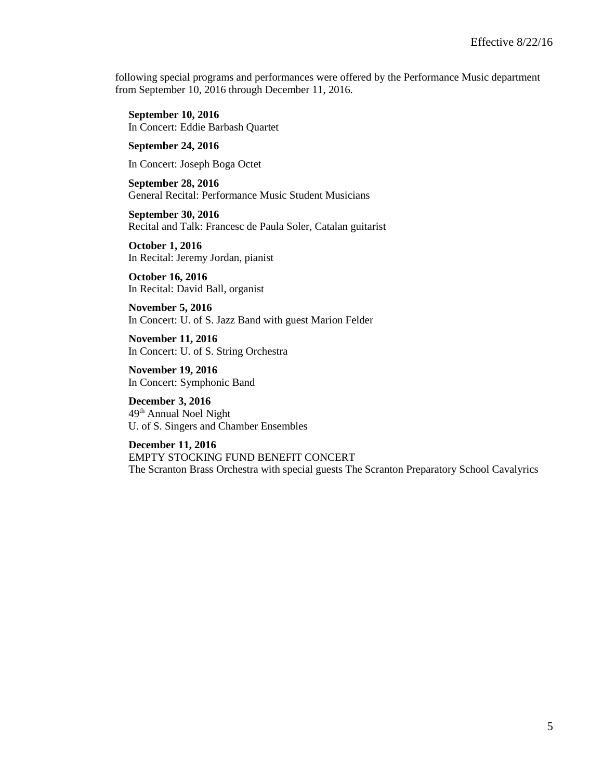following special programs and performances were offered by the Performance Music department from September 10, 2016 through December 11, 2016.

**September 10, 2016** In Concert: Eddie Barbash Quartet

**September 24, 2016**

In Concert: Joseph Boga Octet

**September 28, 2016** General Recital: Performance Music Student Musicians

**September 30, 2016** Recital and Talk: Francesc de Paula Soler, Catalan guitarist

**October 1, 2016** In Recital: Jeremy Jordan, pianist

**October 16, 2016** In Recital: David Ball, organist

**November 5, 2016** In Concert: U. of S. Jazz Band with guest Marion Felder

**November 11, 2016** In Concert: U. of S. String Orchestra

**November 19, 2016** In Concert: Symphonic Band

**December 3, 2016** 49 th Annual Noel Night U. of S. Singers and Chamber Ensembles

**December 11, 2016** EMPTY STOCKING FUND BENEFIT CONCERT The Scranton Brass Orchestra with special guests The Scranton Preparatory School Cavalyrics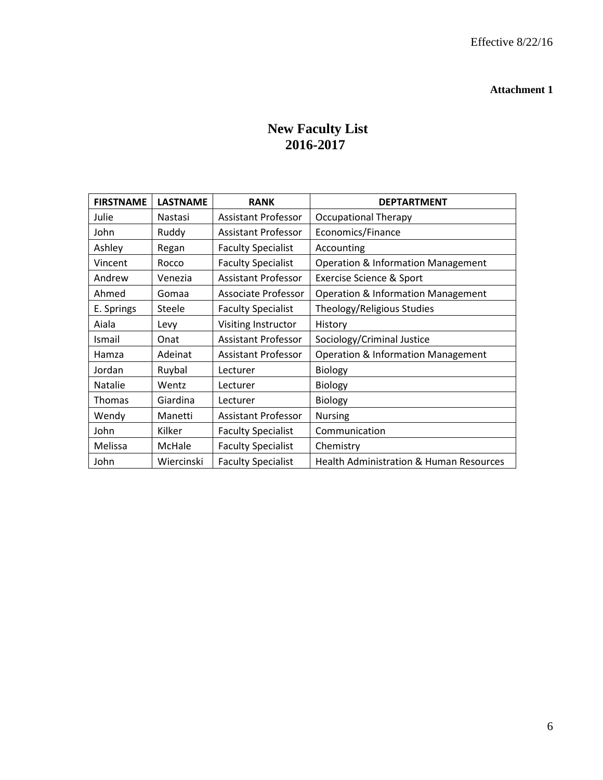# **Attachment 1**

# **New Faculty List 2016-2017**

| <b>FIRSTNAME</b> | <b>LASTNAME</b> | <b>RANK</b>                | <b>DEPTARTMENT</b>                                 |  |
|------------------|-----------------|----------------------------|----------------------------------------------------|--|
| Julie            | Nastasi         | <b>Assistant Professor</b> | <b>Occupational Therapy</b>                        |  |
| John             | Ruddy           | <b>Assistant Professor</b> | Economics/Finance                                  |  |
| Ashley           | Regan           | <b>Faculty Specialist</b>  | Accounting                                         |  |
| Vincent          | Rocco           | <b>Faculty Specialist</b>  | <b>Operation &amp; Information Management</b>      |  |
| Andrew           | Venezia         | Assistant Professor        | <b>Exercise Science &amp; Sport</b>                |  |
| Ahmed            | Gomaa           | Associate Professor        | <b>Operation &amp; Information Management</b>      |  |
| E. Springs       | Steele          | <b>Faculty Specialist</b>  | Theology/Religious Studies                         |  |
| Aiala            | Levy            | Visiting Instructor        | History                                            |  |
| <b>Ismail</b>    | Onat            | <b>Assistant Professor</b> | Sociology/Criminal Justice                         |  |
| Hamza            | Adeinat         | <b>Assistant Professor</b> | <b>Operation &amp; Information Management</b>      |  |
| Jordan           | Ruybal          | Lecturer                   | <b>Biology</b>                                     |  |
| Natalie          | Wentz           | Lecturer                   | Biology                                            |  |
| <b>Thomas</b>    | Giardina        | Lecturer                   | Biology                                            |  |
| Wendy            | Manetti         | Assistant Professor        | <b>Nursing</b>                                     |  |
| John             | Kilker          | <b>Faculty Specialist</b>  | Communication                                      |  |
| Melissa          | McHale          | <b>Faculty Specialist</b>  | Chemistry                                          |  |
| John             | Wiercinski      | <b>Faculty Specialist</b>  | <b>Health Administration &amp; Human Resources</b> |  |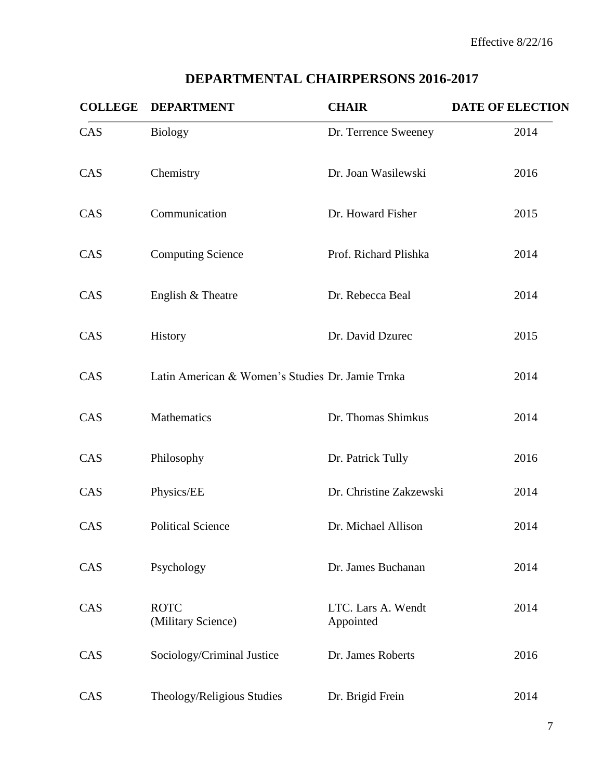# **DEPARTMENTAL CHAIRPERSONS 2016-2017**

| <b>COLLEGE</b> | <b>DEPARTMENT</b>                                | <b>CHAIR</b>                    | <b>DATE OF ELECTION</b> |
|----------------|--------------------------------------------------|---------------------------------|-------------------------|
| CAS            | <b>Biology</b>                                   | Dr. Terrence Sweeney            | 2014                    |
| CAS            | Chemistry                                        | Dr. Joan Wasilewski             | 2016                    |
| CAS            | Communication                                    | Dr. Howard Fisher               | 2015                    |
| CAS            | <b>Computing Science</b>                         | Prof. Richard Plishka           | 2014                    |
| CAS            | English & Theatre                                | Dr. Rebecca Beal                | 2014                    |
| CAS            | History                                          | Dr. David Dzurec                | 2015                    |
| CAS            | Latin American & Women's Studies Dr. Jamie Trnka |                                 | 2014                    |
| CAS            | Mathematics                                      | Dr. Thomas Shimkus              | 2014                    |
| CAS            | Philosophy                                       | Dr. Patrick Tully               | 2016                    |
| CAS            | Physics/EE                                       | Dr. Christine Zakzewski         | 2014                    |
| CAS            | <b>Political Science</b>                         | Dr. Michael Allison             | 2014                    |
| CAS            | Psychology                                       | Dr. James Buchanan              | 2014                    |
| CAS            | <b>ROTC</b><br>(Military Science)                | LTC. Lars A. Wendt<br>Appointed | 2014                    |
| CAS            | Sociology/Criminal Justice                       | Dr. James Roberts               | 2016                    |
| CAS            | Theology/Religious Studies                       | Dr. Brigid Frein                | 2014                    |